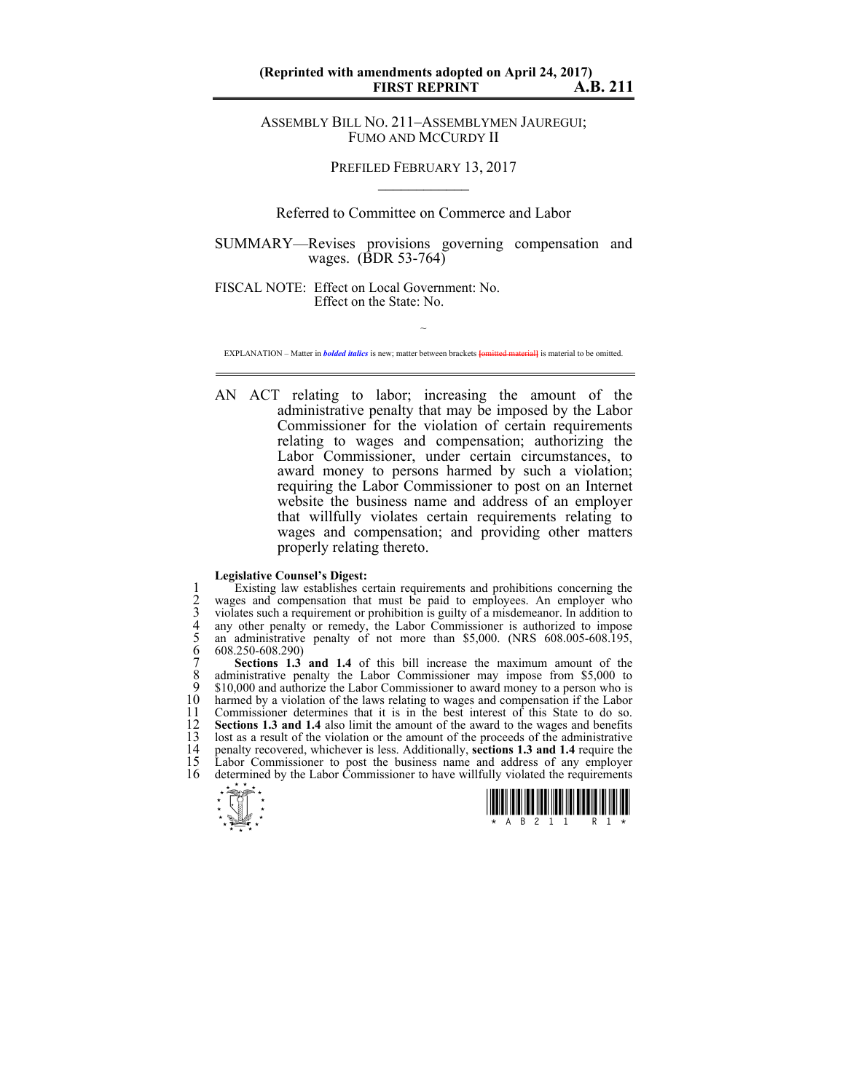## **(Reprinted with amendments adopted on April 24, 2017) FIRST REPRINT**

ASSEMBLY BILL NO. 211–ASSEMBLYMEN JAUREGUI; FUMO AND MCCURDY II

> PREFILED FEBRUARY 13, 2017  $\mathcal{L}_\text{max}$

Referred to Committee on Commerce and Labor

SUMMARY—Revises provisions governing compensation and wages. (BDR 53-764)

FISCAL NOTE: Effect on Local Government: No. Effect on the State: No.

 $\sim$ EXPLANATION – Matter in *bolded italics* is new; matter between brackets **[**omitted material**]** is material to be omitted.

AN ACT relating to labor; increasing the amount of the administrative penalty that may be imposed by the Labor Commissioner for the violation of certain requirements relating to wages and compensation; authorizing the Labor Commissioner, under certain circumstances, to award money to persons harmed by such a violation; requiring the Labor Commissioner to post on an Internet website the business name and address of an employer that willfully violates certain requirements relating to wages and compensation; and providing other matters properly relating thereto.

## **Legislative Counsel's Digest:**

Existing law establishes certain requirements and prohibitions concerning the<br>
2 wages and compensation that must be paid to employees. An employer who<br>
3 violates such a requirement or prohibition is guilty of a misdemean 2 wages and compensation that must be paid to employees. An employer who 3 violates such a requirement or prohibition is guilty of a misdemeanor. In addition to any other penalty or remedy, the Labor Commissioner is authorized to impose an administrative penalty of not more than \$5,000. (NRS 608.005-608.195, 6 608.250-608.290)

**Sections 1.3 and 1.4** of this bill increase the maximum amount of the administrative penalty the Labor Commissioner may impose from \$5,000 to 8 administrative penalty the Labor Commissioner may impose from \$5,000 to \$10,000 and authorize the Labor Commissioner to award money to a person who is 9 \$10,000 and authorize the Labor Commissioner to award money to a person who is 10 harmed by a violation of the laws relating to wages and compensation if the Labor 11 Commissioner determines that it is in the best interest of this State to do so. 11 Commissioner determines that it is in the best interest of this State to do so.<br>12 **Sections 1.3 and 1.4** also limit the amount of the award to the wages and benefits 12 **Sections 1.3 and 1.4** also limit the amount of the award to the wages and benefits 13 lost as a result of the violation or the amount of the proceeds of the administrative 13 lost as a result of the violation or the amount of the proceeds of the administrative penalty recovered, whichever is less. Additionally, **sections 1.3 and 1.4** require the 14 penalty recovered, whichever is less. Additionally, **sections 1.3 and 1.4** require the 15 Labor Commissioner to post the business name and address of any employer 15 Labor Commissioner to post the business name and address of any employer 16 determined by the Labor Commissioner to have willfully violated the requirements



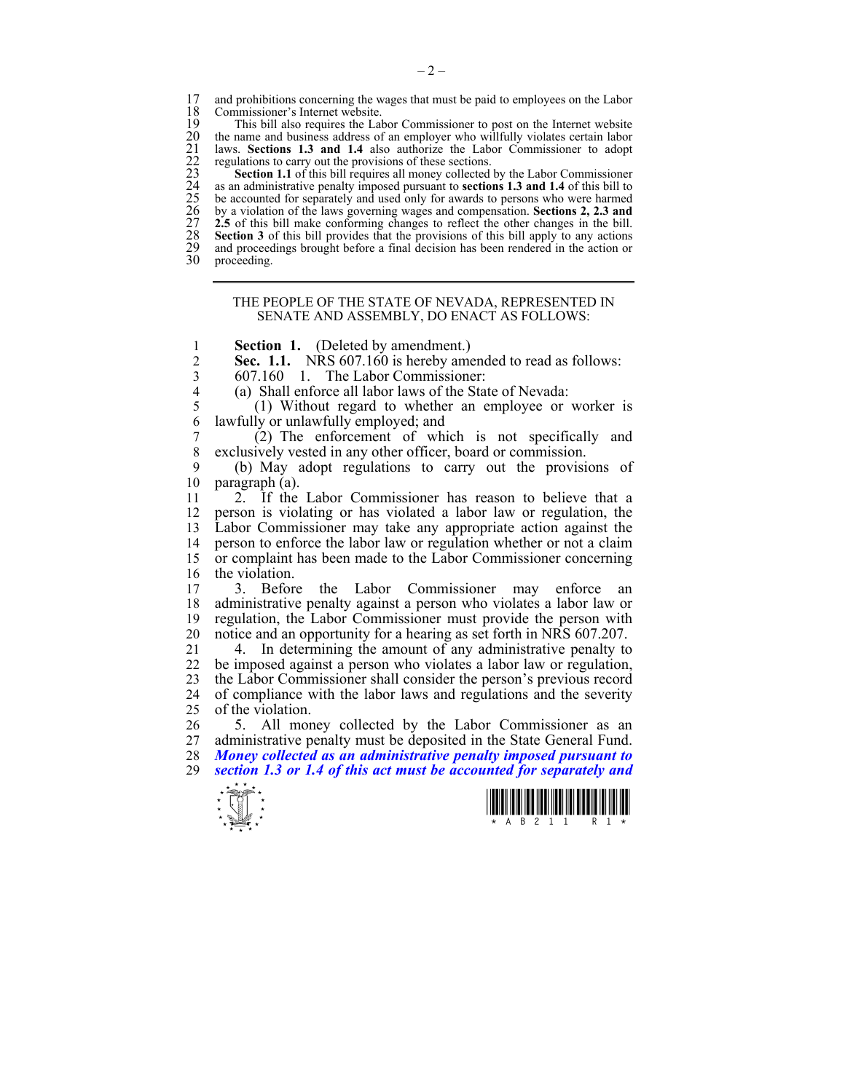17 and prohibitions concerning the wages that must be paid to employees on the Labor 18 Commissioner's Internet website 18 Commissioner's Internet website.<br>19 This bill also requires the Lab

19 This bill also requires the Labor Commissioner to post on the Internet website<br>20 the name and business address of an employer who willfully violates certain labor laws. **Sections 1.3 and 1.4** also authorize the Labor Commissioner to adopt regulations to carry out the provisions of these sections.

20 the name and business address of an employer who willfully violates certain labor<br>
21 laws. Sections 1.3 and 1.4 also authorize the Labor Commissioner to adopt<br>
22 regulations to carry out the provisions of these secti **Section 1.1** of this bill requires all money collected by the Labor Commissioner 24 as an administrative penalty imposed pursuant to **sections 1.3 and 1.4** of this bill to 25 be accounted for separately and used only for awards to persons who were harmed 26 by a violation of the laws governing wages and compensation. **Sections 2, 2.3 and**  2.5 of this bill make conforming changes to reflect the other changes in the bill. Section 3 of this bill provides that the provisions of this bill apply to any actions 29 and proceedings brought before a final decision has been rendered in the action or 30 proceeding.

proceeding.

## THE PEOPLE OF THE STATE OF NEVADA, REPRESENTED IN SENATE AND ASSEMBLY, DO ENACT AS FOLLOWS:

1 **Section 1.** (Deleted by amendment.)

**Sec. 1.1.** NRS 607.160 is hereby amended to read as follows:<br>607.160 1 The Labor Commissioner:

3 607.160 1. The Labor Commissioner:

(a) Shall enforce all labor laws of the State of Nevada:

5 (1) Without regard to whether an employee or worker is 6 lawfully or unlawfully employed; and

7 (2) The enforcement of which is not specifically and 8 exclusively vested in any other officer, board or commission.

9 (b) May adopt regulations to carry out the provisions of 10 paragraph (a).

11 2. If the Labor Commissioner has reason to believe that a 12 person is violating or has violated a labor law or regulation, the 13 Labor Commissioner may take any appropriate action against the 14 person to enforce the labor law or regulation whether or not a claim<br>15 or complaint has been made to the Labor Commissioner concerning or complaint has been made to the Labor Commissioner concerning 16 the violation.

17 3. Before the Labor Commissioner may enforce an 18 administrative penalty against a person who violates a labor law or 19 regulation, the Labor Commissioner must provide the person with 20 notice and an opportunity for a hearing as set forth in NRS 607.207.

21 4. In determining the amount of any administrative penalty to 22 be imposed against a person who violates a labor law or regulation be imposed against a person who violates a labor law or regulation, 23 the Labor Commissioner shall consider the person's previous record 24 of compliance with the labor laws and regulations and the severity<br>25 of the violation of the violation.

26 5. All money collected by the Labor Commissioner as an 27 administrative penalty must be deposited in the State General Fund. 28 *Money collected as an administrative penalty imposed pursuant to*  29 *section 1.3 or 1.4 of this act must be accounted for separately and* 



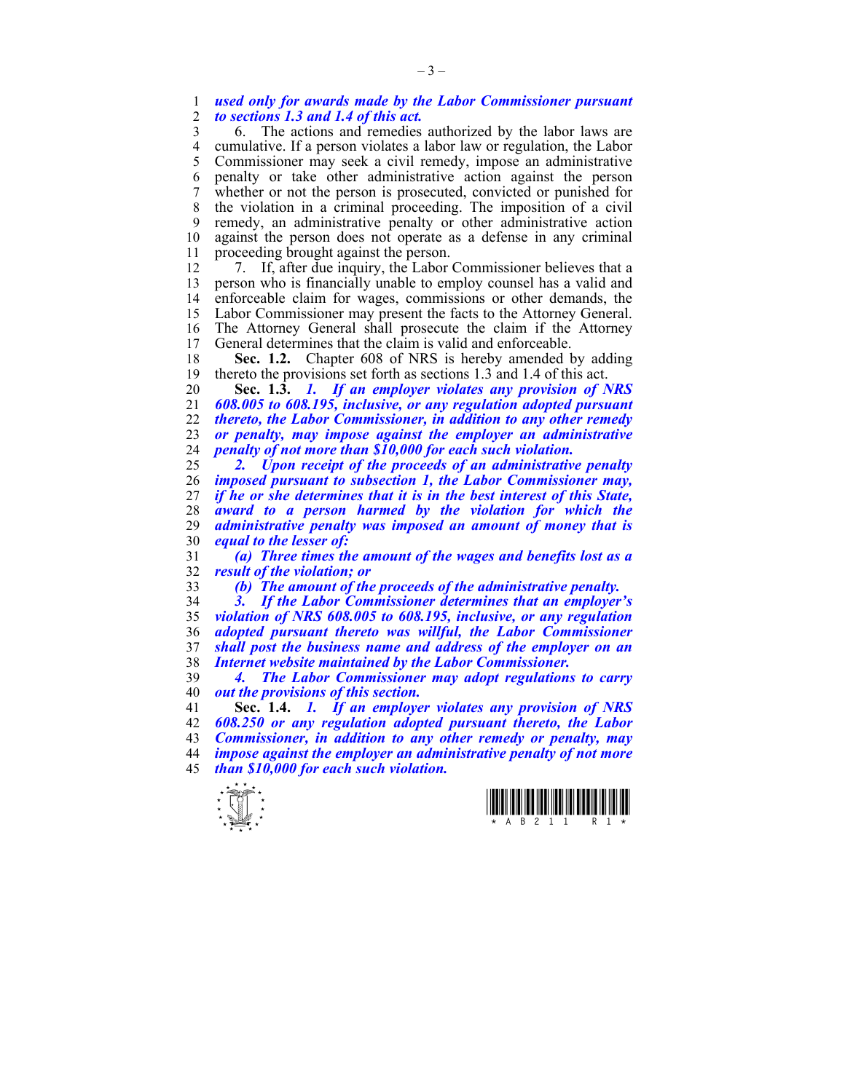1 *used only for awards made by the Labor Commissioner pursuant*  2 *to sections 1.3 and 1.4 of this act.* 

3 6. The actions and remedies authorized by the labor laws are 4 cumulative. If a person violates a labor law or regulation, the Labor 5 Commissioner may seek a civil remedy, impose an administrative 5 Commissioner may seek a civil remedy, impose an administrative 6 penalty or take other administrative action against the person 7 whether or not the person is prosecuted, convicted or punished for 8 the violation in a criminal proceeding. The imposition of a civil 9 remedy, an administrative penalty or other administrative action 10 against the person does not operate as a defense in any criminal 11 proceeding brought against the person.

12 7. If, after due inquiry, the Labor Commissioner believes that a 13 person who is financially unable to employ counsel has a valid and 14 enforceable claim for wages, commissions or other demands, the 15 Labor Commissioner may present the facts to the Attorney General. 16 The Attorney General shall prosecute the claim if the Attorney<br>17 General determines that the claim is valid and enforceable General determines that the claim is valid and enforceable.

18 **Sec. 1.2.** Chapter 608 of NRS is hereby amended by adding 19 thereto the provisions set forth as sections 1.3 and 1.4 of this act.

**Sec. 1.3.** *1. If an employer violates any provision of NRS 608.005 to 608.195, inclusive, or any regulation adopted pursuant thereto, the Labor Commissioner, in addition to any other remedy or penalty, may impose against the employer an administrative penalty of not more than \$10,000 for each such violation.* 

*2. Upon receipt of the proceeds of an administrative penalty imposed pursuant to subsection 1, the Labor Commissioner may, if he or she determines that it is in the best interest of this State, award to a person harmed by the violation for which the*  administrative penalty was imposed an amount of money that is *equal to the lesser of:* 

31 *(a) Three times the amount of the wages and benefits lost as a*  32 *result of the violation; or* 

33 *(b) The amount of the proceeds of the administrative penalty.* 

*3. If the Labor Commissioner determines that an employer's violation of NRS 608.005 to 608.195, inclusive, or any regulation adopted pursuant thereto was willful, the Labor Commissioner shall post the business name and address of the employer on an Internet website maintained by the Labor Commissioner.* 

39 *4. The Labor Commissioner may adopt regulations to carry*  40 *out the provisions of this section.* 

**Sec. 1.4.** *1. If an employer violates any provision of NRS 608.250 or any regulation adopted pursuant thereto, the Labor Commissioner, in addition to any other remedy or penalty, may impose against the employer an administrative penalty of not more than \$10,000 for each such violation.* 



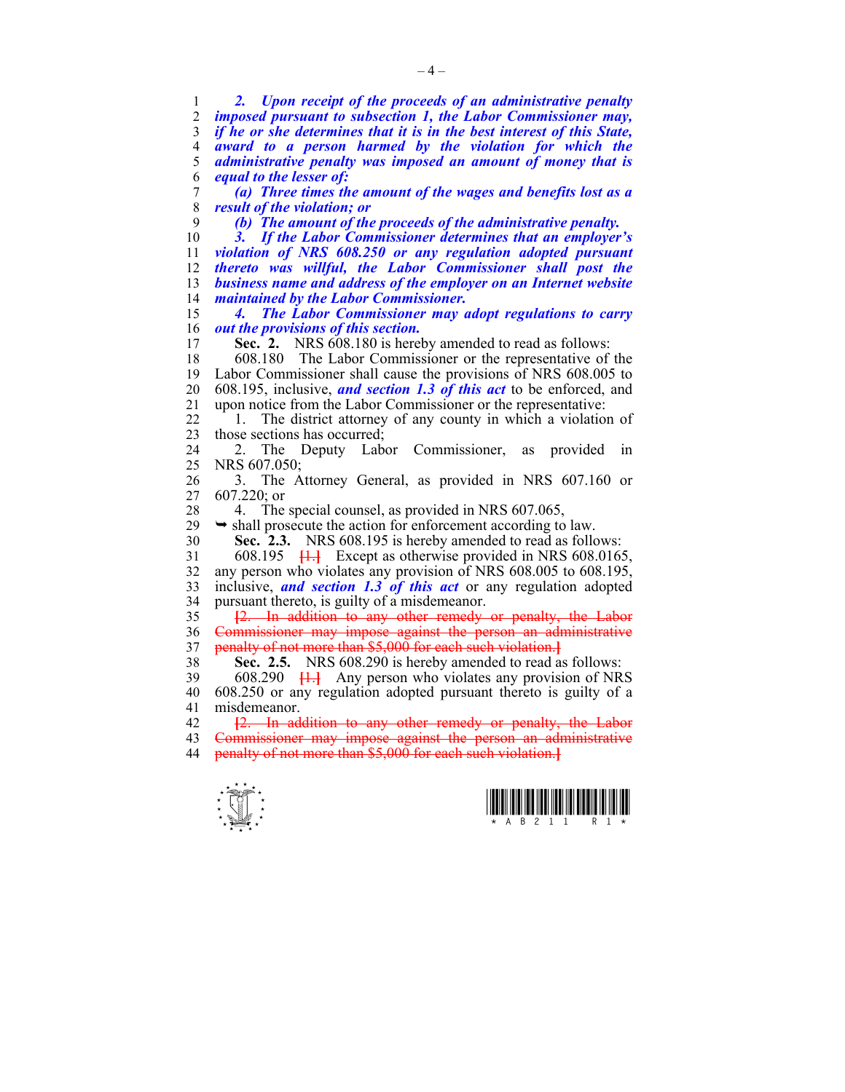1 *2. Upon receipt of the proceeds of an administrative penalty*  2 *imposed pursuant to subsection 1, the Labor Commissioner may,*  3 *if he or she determines that it is in the best interest of this State,*  4 *award to a person harmed by the violation for which the*  5 *administrative penalty was imposed an amount of money that is*  6 *equal to the lesser of:*  7 *(a) Three times the amount of the wages and benefits lost as a*  8 *result of the violation; or*  9 *(b) The amount of the proceeds of the administrative penalty.*  10 *3. If the Labor Commissioner determines that an employer's*  11 *violation of NRS 608.250 or any regulation adopted pursuant*  12 *thereto was willful, the Labor Commissioner shall post the* 13 *business name and address of the employer on an Internet website*  14 *maintained by the Labor Commissioner.*  15 *4. The Labor Commissioner may adopt regulations to carry*  16 *out the provisions of this section.*  17 **Sec. 2.** NRS 608.180 is hereby amended to read as follows: 18 608.180 The Labor Commissioner or the representative of the 19 Labor Commissioner shall cause the provisions of NRS 608.005 to 20 608.195, inclusive, *and section 1.3 of this act* to be enforced, and 21 upon notice from the Labor Commissioner or the representative: 22 1. The district attorney of any county in which a violation of 23 those sections has occurred; 24 2. The Deputy Labor Commissioner, as provided in 25 NRS 607.050; 26 3. The Attorney General, as provided in NRS 607.160 or 27 607.220; or 28 4. The special counsel, as provided in NRS 607.065,  $29 \rightarrow$  shall prosecute the action for enforcement according to law. 30 **Sec. 2.3.** NRS 608.195 is hereby amended to read as follows: 31 608.195 **[**1.**]** Except as otherwise provided in NRS 608.0165, 32 any person who violates any provision of NRS 608.005 to 608.195, 33 inclusive, *and section 1.3 of this act* or any regulation adopted 34 pursuant thereto, is guilty of a misdemeanor. 35 **[**2. In addition to any other remedy or penalty, the Labor 36 Commissioner may impose against the person an administrative 37 penalty of not more than \$5,000 for each such violation.**]** 38 **Sec. 2.5.** NRS 608.290 is hereby amended to read as follows: 39 608.290 **[**1.**]** Any person who violates any provision of NRS 40 608.250 or any regulation adopted pursuant thereto is guilty of a 41 misdemeanor. 42 **[**2. In addition to any other remedy or penalty, the Labor 43 Commissioner may impose against the person an administrative 44 penalty of not more than \$5,000 for each such violation.**]**